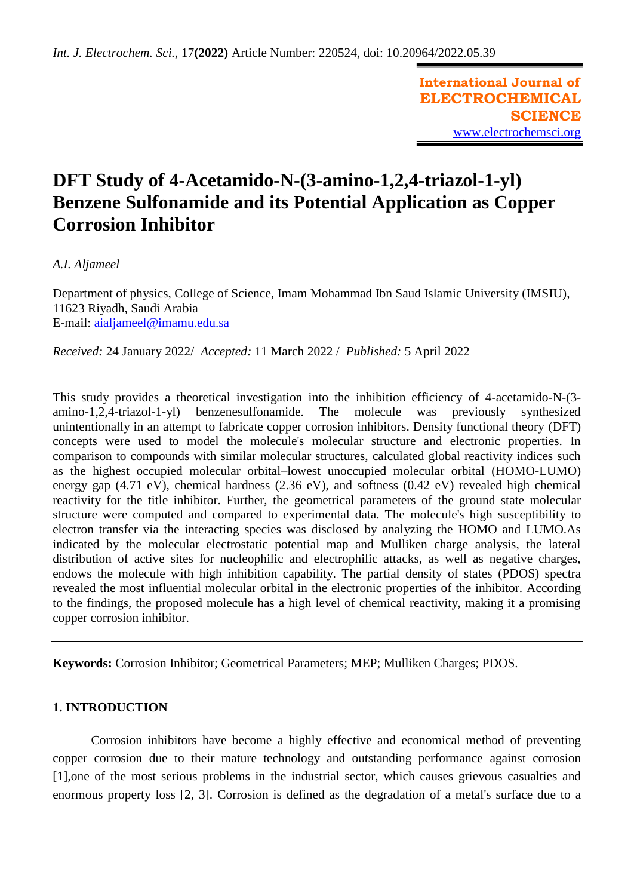**International Journal of ELECTROCHEMICAL SCIENCE** [www.electrochemsci.org](http://www.electrochemsci.org/)

# **DFT Study of 4-Acetamido-N-(3-amino-1,2,4-triazol-1-yl) Benzene Sulfonamide and its Potential Application as Copper Corrosion Inhibitor**

*A.I. Aljameel*

Department of physics, College of Science, Imam Mohammad Ibn Saud Islamic University (IMSIU), 11623 Riyadh, Saudi Arabia E-mail: [aialjameel@imamu.edu.sa](mailto:aialjameel@imamu.edu.sa.com)

*Received:* 24 January 2022/ *Accepted:* 11 March 2022 / *Published:* 5 April 2022

This study provides a theoretical investigation into the inhibition efficiency of 4-acetamido-N-(3 amino-1,2,4-triazol-1-yl) benzenesulfonamide. The molecule was previously synthesized unintentionally in an attempt to fabricate copper corrosion inhibitors. Density functional theory (DFT) concepts were used to model the molecule's molecular structure and electronic properties. In comparison to compounds with similar molecular structures, calculated global reactivity indices such as the highest occupied molecular orbital–lowest unoccupied molecular orbital (HOMO-LUMO) energy gap (4.71 eV), chemical hardness (2.36 eV), and softness (0.42 eV) revealed high chemical reactivity for the title inhibitor. Further, the geometrical parameters of the ground state molecular structure were computed and compared to experimental data. The molecule's high susceptibility to electron transfer via the interacting species was disclosed by analyzing the HOMO and LUMO.As indicated by the molecular electrostatic potential map and Mulliken charge analysis, the lateral distribution of active sites for nucleophilic and electrophilic attacks, as well as negative charges, endows the molecule with high inhibition capability. The partial density of states (PDOS) spectra revealed the most influential molecular orbital in the electronic properties of the inhibitor. According to the findings, the proposed molecule has a high level of chemical reactivity, making it a promising copper corrosion inhibitor.

**Keywords:** Corrosion Inhibitor; Geometrical Parameters; MEP; Mulliken Charges; PDOS.

## **1. INTRODUCTION**

Corrosion inhibitors have become a highly effective and economical method of preventing copper corrosion due to their mature technology and outstanding performance against corrosion [1],one of the most serious problems in the industrial sector, which causes grievous casualties and enormous property loss [2, 3]. Corrosion is defined as the degradation of a metal's surface due to a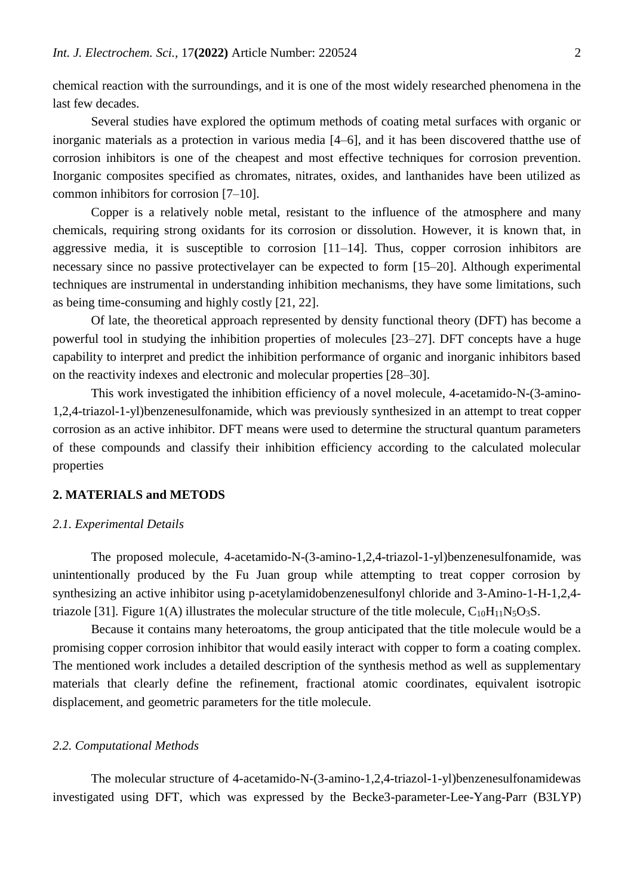chemical reaction with the surroundings, and it is one of the most widely researched phenomena in the last few decades.

Several studies have explored the optimum methods of coating metal surfaces with organic or inorganic materials as a protection in various media [4–6], and it has been discovered thatthe use of corrosion inhibitors is one of the cheapest and most effective techniques for corrosion prevention. Inorganic composites specified as chromates, nitrates, oxides, and lanthanides have been utilized as common inhibitors for corrosion [7–10].

Copper is a relatively noble metal, resistant to the influence of the atmosphere and many chemicals, requiring strong oxidants for its corrosion or dissolution. However, it is known that, in aggressive media, it is susceptible to corrosion [11–14]. Thus, copper corrosion inhibitors are necessary since no passive protectivelayer can be expected to form [15–20]. Although experimental techniques are instrumental in understanding inhibition mechanisms, they have some limitations, such as being time-consuming and highly costly [21, 22].

Of late, the theoretical approach represented by density functional theory (DFT) has become a powerful tool in studying the inhibition properties of molecules [23–27]. DFT concepts have a huge capability to interpret and predict the inhibition performance of organic and inorganic inhibitors based on the reactivity indexes and electronic and molecular properties [28–30].

This work investigated the inhibition efficiency of a novel molecule, 4-acetamido-N-(3-amino-1,2,4-triazol-1-yl)benzenesulfonamide, which was previously synthesized in an attempt to treat copper corrosion as an active inhibitor. DFT means were used to determine the structural quantum parameters of these compounds and classify their inhibition efficiency according to the calculated molecular properties

## **2. MATERIALS and METODS**

## *2.1. Experimental Details*

The proposed molecule, 4-acetamido-N-(3-amino-1,2,4-triazol-1-yl)benzenesulfonamide, was unintentionally produced by the Fu Juan group while attempting to treat copper corrosion by synthesizing an active inhibitor using p-acetylamidobenzenesulfonyl chloride and 3-Amino-1-H-1,2,4 triazole [31]. Figure 1(A) illustrates the molecular structure of the title molecule,  $C_{10}H_{11}N_5O_3S$ .

Because it contains many heteroatoms, the group anticipated that the title molecule would be a promising copper corrosion inhibitor that would easily interact with copper to form a coating complex. The mentioned work includes a detailed description of the synthesis method as well as supplementary materials that clearly define the refinement, fractional atomic coordinates, equivalent isotropic displacement, and geometric parameters for the title molecule.

#### *2.2. Computational Methods*

The molecular structure of 4-acetamido-N-(3-amino-1,2,4-triazol-1-yl)benzenesulfonamidewas investigated using DFT, which was expressed by the Becke3-parameter-Lee-Yang-Parr (B3LYP)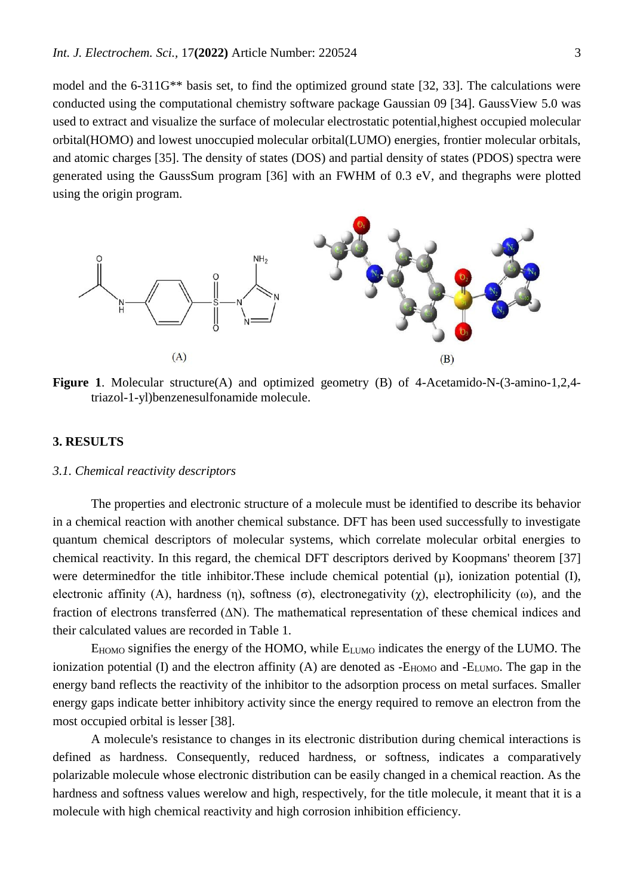model and the 6-311G\*\* basis set, to find the optimized ground state [32, 33]. The calculations were conducted using the computational chemistry software package Gaussian 09 [34]. GaussView 5.0 was used to extract and visualize the surface of molecular electrostatic potential,highest occupied molecular orbital(HOMO) and lowest unoccupied molecular orbital(LUMO) energies, frontier molecular orbitals, and atomic charges [35]. The density of states (DOS) and partial density of states (PDOS) spectra were generated using the GaussSum program [36] with an FWHM of 0.3 eV, and thegraphs were plotted using the origin program.



Figure 1. Molecular structure(A) and optimized geometry (B) of 4-Acetamido-N-(3-amino-1,2,4triazol-1-yl)benzenesulfonamide molecule.

#### **3. RESULTS**

#### *3.1. Chemical reactivity descriptors*

The properties and electronic structure of a molecule must be identified to describe its behavior in a chemical reaction with another chemical substance. DFT has been used successfully to investigate quantum chemical descriptors of molecular systems, which correlate molecular orbital energies to chemical reactivity. In this regard, the chemical DFT descriptors derived by Koopmans' theorem [37] were determined for the title inhibitor. These include chemical potential  $(\mu)$ , ionization potential  $(I)$ , electronic affinity (A), hardness (η), softness (σ), electronegativity (χ), electrophilicity (ω), and the fraction of electrons transferred (ΔN). The mathematical representation of these chemical indices and their calculated values are recorded in Table 1.

 $E_{HOMO}$  signifies the energy of the HOMO, while  $E_{LUMO}$  indicates the energy of the LUMO. The ionization potential (I) and the electron affinity (A) are denoted as  $-E_{HOMO}$  and  $-E_{LUMO}$ . The gap in the energy band reflects the reactivity of the inhibitor to the adsorption process on metal surfaces. Smaller energy gaps indicate better inhibitory activity since the energy required to remove an electron from the most occupied orbital is lesser [38].

A molecule's resistance to changes in its electronic distribution during chemical interactions is defined as hardness. Consequently, reduced hardness, or softness, indicates a comparatively polarizable molecule whose electronic distribution can be easily changed in a chemical reaction. As the hardness and softness values werelow and high, respectively, for the title molecule, it meant that it is a molecule with high chemical reactivity and high corrosion inhibition efficiency.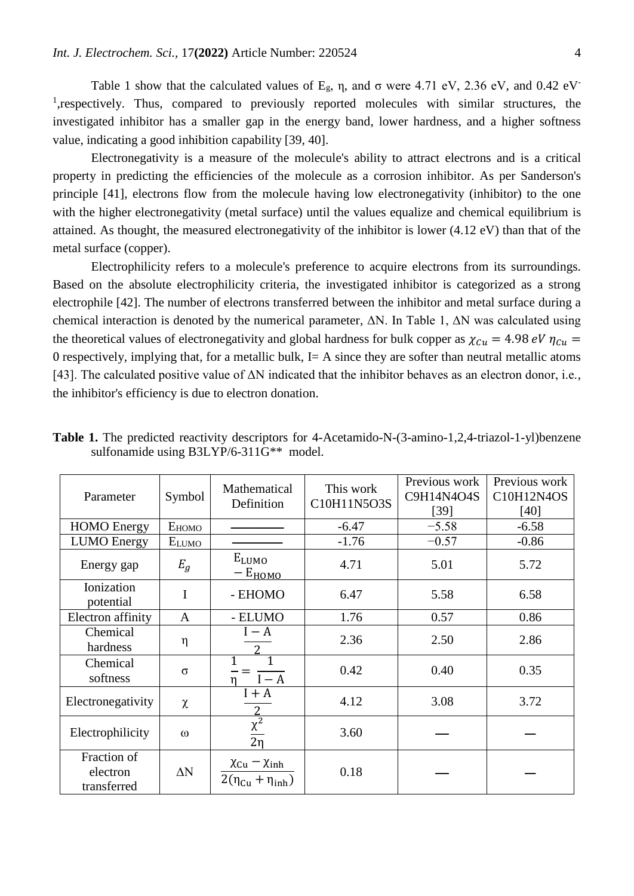Table 1 show that the calculated values of  $E_g$ ,  $\eta$ , and  $\sigma$  were 4.71 eV, 2.36 eV, and 0.42 eV-<sup>1</sup>, respectively. Thus, compared to previously reported molecules with similar structures, the investigated inhibitor has a smaller gap in the energy band, lower hardness, and a higher softness value, indicating a good inhibition capability [39, 40].

Electronegativity is a measure of the molecule's ability to attract electrons and is a critical property in predicting the efficiencies of the molecule as a corrosion inhibitor. As per Sanderson's principle [41], electrons flow from the molecule having low electronegativity (inhibitor) to the one with the higher electronegativity (metal surface) until the values equalize and chemical equilibrium is attained. As thought, the measured electronegativity of the inhibitor is lower (4.12 eV) than that of the metal surface (copper).

Electrophilicity refers to a molecule's preference to acquire electrons from its surroundings. Based on the absolute electrophilicity criteria, the investigated inhibitor is categorized as a strong electrophile [42]. The number of electrons transferred between the inhibitor and metal surface during a chemical interaction is denoted by the numerical parameter,  $\Delta N$ . In Table 1,  $\Delta N$  was calculated using the theoretical values of electronegativity and global hardness for bulk copper as  $\chi_{Cu} = 4.98 \text{ eV } \eta_{Cu} =$ 0 respectively, implying that, for a metallic bulk,  $I = A$  since they are softer than neutral metallic atoms [43]. The calculated positive value of  $\Delta N$  indicated that the inhibitor behaves as an electron donor, i.e., the inhibitor's efficiency is due to electron donation.

| Parameter                              | Symbol               | Mathematical<br>Definition                                            | Previous work<br>This work<br>C9H14N4O4S<br>C10H11N5O3S<br>$[39]$ |         | Previous work<br>C10H12N4OS<br>$[40]$ |  |
|----------------------------------------|----------------------|-----------------------------------------------------------------------|-------------------------------------------------------------------|---------|---------------------------------------|--|
| <b>HOMO</b> Energy                     | E <sub>HOMO</sub>    |                                                                       | $-6.47$                                                           | $-5.58$ | $-6.58$                               |  |
| <b>LUMO</b> Energy                     | <b>ELUMO</b>         |                                                                       | $-1.76$                                                           | $-0.57$ | $-0.86$                               |  |
| Energy gap                             | $E_g$                | $E_{LUMO}$<br>$-E_{HOMO}$                                             | 4.71                                                              | 5.01    | 5.72                                  |  |
| Ionization<br>potential                | I<br>- EHOMO<br>6.47 |                                                                       | 5.58                                                              | 6.58    |                                       |  |
| Electron affinity                      | - ELUMO<br>A         |                                                                       | 1.76                                                              | 0.57    | 0.86                                  |  |
| Chemical<br>hardness                   | η                    | $I - A$<br>$\overline{c}$                                             | 2.36                                                              | 2.50    | 2.86                                  |  |
| Chemical<br>softness                   | $\sigma$             | $I - A$                                                               | 0.42                                                              | 0.40    | 0.35                                  |  |
| Electronegativity                      | $\chi$               | $I + A$                                                               | 4.12                                                              | 3.08    | 3.72                                  |  |
| Electrophilicity                       | $\omega$             | $\overline{\chi^2}$<br>2n                                             | 3.60                                                              |         |                                       |  |
| Fraction of<br>electron<br>transferred | $\Delta N$           | $\chi_{Cu} - \chi_{inh}$<br>$2(\eta_{\text{Cu}} + \eta_{\text{inh}})$ | 0.18                                                              |         |                                       |  |

**Table 1.** The predicted reactivity descriptors for 4-Acetamido-N-(3-amino-1,2,4-triazol-1-yl)benzene sulfonamide using B3LYP/6-311G\*\* model.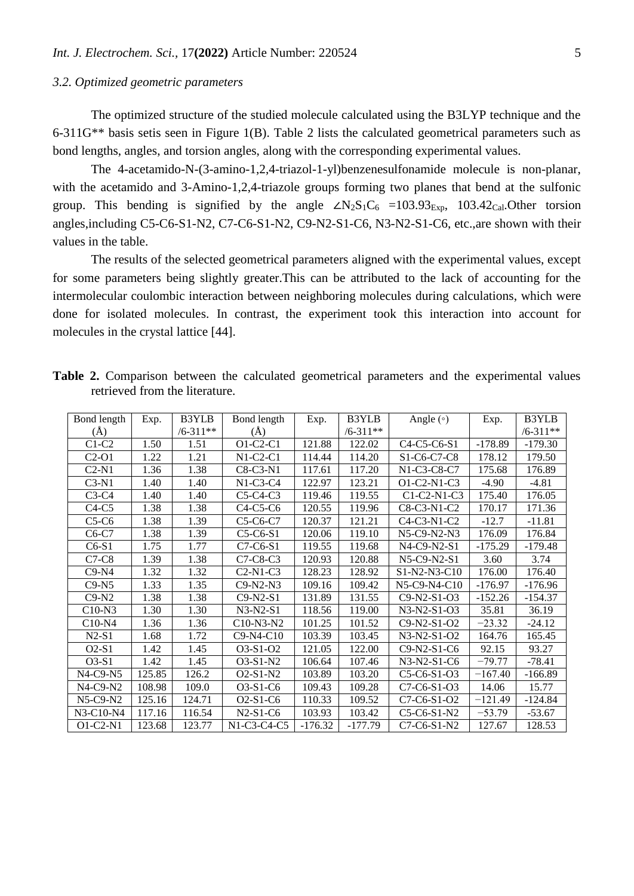## *3.2. Optimized geometric parameters*

The optimized structure of the studied molecule calculated using the B3LYP technique and the 6-311G\*\* basis setis seen in Figure 1(B). Table 2 lists the calculated geometrical parameters such as bond lengths, angles, and torsion angles, along with the corresponding experimental values.

The 4-acetamido-N-(3-amino-1,2,4-triazol-1-yl)benzenesulfonamide molecule is non-planar, with the acetamido and 3-Amino-1,2,4-triazole groups forming two planes that bend at the sulfonic group. This bending is signified by the angle  $\angle N_2S_1C_6 = 103.93_{\text{Exp}}$ , 103.42<sub>Cal</sub>.Other torsion angles,including C5-C6-S1-N2, C7-C6-S1-N2, C9-N2-S1-C6, N3-N2-S1-C6, etc.,are shown with their values in the table.

The results of the selected geometrical parameters aligned with the experimental values, except for some parameters being slightly greater.This can be attributed to the lack of accounting for the intermolecular coulombic interaction between neighboring molecules during calculations, which were done for isolated molecules. In contrast, the experiment took this interaction into account for molecules in the crystal lattice [44].

| Bond length    | Exp.   | B3YLB        | Bond length | Exp.      | <b>B3YLB</b> | Angle $(\circ)$                                                | Exp.      | B3YLB        |
|----------------|--------|--------------|-------------|-----------|--------------|----------------------------------------------------------------|-----------|--------------|
| $(\check{A})$  |        | $/6 - 311**$ | $\rm(\AA)$  |           | $/6 - 311**$ |                                                                |           | $/6 - 311**$ |
| $C1-C2$        | 1.50   | 1.51         | $O1-C2-C1$  | 121.88    | 122.02       | C <sub>4</sub> -C <sub>5</sub> -C <sub>6</sub> -S <sub>1</sub> | $-178.89$ | $-179.30$    |
| $C2-O1$        | 1.22   | 1.21         | $N1-C2-C1$  | 114.44    | 114.20       | S <sub>1</sub> -C <sub>6</sub> -C <sub>7</sub> -C <sub>8</sub> | 178.12    | 179.50       |
| $C2-N1$        | 1.36   | 1.38         | C8-C3-N1    | 117.61    | 117.20       | N1-C3-C8-C7                                                    | 175.68    | 176.89       |
| $C3-N1$        | 1.40   | 1.40         | $N1-C3-C4$  | 122.97    | 123.21       | O1-C2-N1-C3                                                    | $-4.90$   | $-4.81$      |
| $C3-C4$        | 1.40   | 1.40         | $C5-C4-C3$  | 119.46    | 119.55       | $C1-C2-N1-C3$                                                  | 175.40    | 176.05       |
| $C4-C5$        | 1.38   | 1.38         | $C4-C5-C6$  | 120.55    | 119.96       | C8-C3-N1-C2                                                    | 170.17    | 171.36       |
| $C5-C6$        | 1.38   | 1.39         | C5-C6-C7    | 120.37    | 121.21       | $C4-C3-N1-C2$                                                  | $-12.7$   | $-11.81$     |
| $C6-C7$        | 1.38   | 1.39         | $C5-C6-S1$  | 120.06    | 119.10       | N5-C9-N2-N3                                                    | 176.09    | 176.84       |
| $C6-S1$        | 1.75   | 1.77         | C7-C6-S1    | 119.55    | 119.68       | N4-C9-N2-S1                                                    | $-175.29$ | $-179.48$    |
| $C7-C8$        | 1.39   | 1.38         | $C7-C8-C3$  | 120.93    | 120.88       | $N5-C9-N2-S1$                                                  | 3.60      | 3.74         |
| $C9-N4$        | 1.32   | 1.32         | $C2-N1-C3$  | 128.23    | 128.92       | $S1-N2-N3-C10$                                                 | 176.00    | 176.40       |
| $C9-N5$        | 1.33   | 1.35         | $C9-N2-N3$  | 109.16    | 109.42       | N5-C9-N4-C10                                                   | $-176.97$ | $-176.96$    |
| $C9-N2$        | 1.38   | 1.38         | $C9-N2-S1$  | 131.89    | 131.55       | C9-N2-S1-O3                                                    | $-152.26$ | $-154.37$    |
| $C10-N3$       | 1.30   | 1.30         | $N3-N2-S1$  | 118.56    | 119.00       | N3-N2-S1-O3                                                    | 35.81     | 36.19        |
| $C10-N4$       | 1.36   | 1.36         | C10-N3-N2   | 101.25    | 101.52       | C9-N2-S1-O2                                                    | $-23.32$  | $-24.12$     |
| $N2-S1$        | 1.68   | 1.72         | $C9-N4-C10$ | 103.39    | 103.45       | $N3-N2-S1-O2$                                                  | 164.76    | 165.45       |
| $O2-S1$        | 1.42   | 1.45         | O3-S1-O2    | 121.05    | 122.00       | $C9-N2-S1-C6$                                                  | 92.15     | 93.27        |
| $O3-S1$        | 1.42   | 1.45         | O3-S1-N2    | 106.64    | 107.46       | $N3-N2-S1-C6$                                                  | $-79.77$  | $-78.41$     |
| N4-C9-N5       | 125.85 | 126.2        | $O2-S1-N2$  | 103.89    | 103.20       | C5-C6-S1-O3                                                    | $-167.40$ | $-166.89$    |
| $N4$ -C9- $N2$ | 108.98 | 109.0        | O3-S1-C6    | 109.43    | 109.28       | C7-C6-S1-O3                                                    | 14.06     | 15.77        |
| $N5-C9-N2$     | 125.16 | 124.71       | $O2-S1-C6$  | 110.33    | 109.52       | C7-C6-S1-O2                                                    | $-121.49$ | $-124.84$    |
| $N3-C10-N4$    | 117.16 | 116.54       | $N2-S1-C6$  | 103.93    | 103.42       | C5-C6-S1-N2                                                    | $-53.79$  | $-53.67$     |
| $O1-C2-N1$     | 123.68 | 123.77       | N1-C3-C4-C5 | $-176.32$ | $-177.79$    | C7-C6-S1-N2                                                    | 127.67    | 128.53       |

**Table 2.** Comparison between the calculated geometrical parameters and the experimental values retrieved from the literature.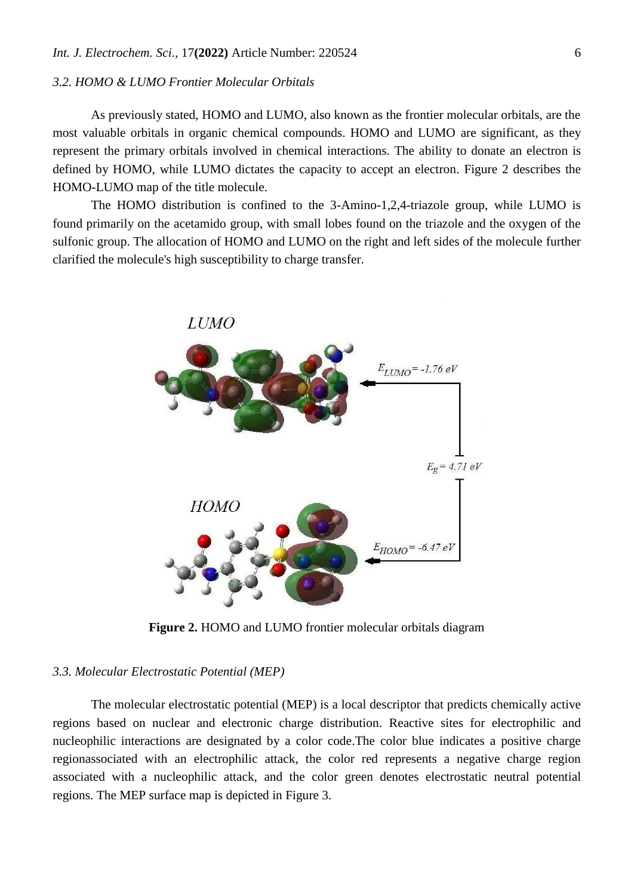# *3.2. HOMO & LUMO Frontier Molecular Orbitals*

As previously stated, HOMO and LUMO, also known as the frontier molecular orbitals, are the most valuable orbitals in organic chemical compounds. HOMO and LUMO are significant, as they represent the primary orbitals involved in chemical interactions. The ability to donate an electron is defined by HOMO, while LUMO dictates the capacity to accept an electron. Figure 2 describes the HOMO-LUMO map of the title molecule.

The HOMO distribution is confined to the 3-Amino-1,2,4-triazole group, while LUMO is found primarily on the acetamido group, with small lobes found on the triazole and the oxygen of the sulfonic group. The allocation of HOMO and LUMO on the right and left sides of the molecule further clarified the molecule's high susceptibility to charge transfer.



**Figure 2.** HOMO and LUMO frontier molecular orbitals diagram

#### *3.3. Molecular Electrostatic Potential (MEP)*

The molecular electrostatic potential (MEP) is a local descriptor that predicts chemically active regions based on nuclear and electronic charge distribution. Reactive sites for electrophilic and nucleophilic interactions are designated by a color code.The color blue indicates a positive charge regionassociated with an electrophilic attack, the color red represents a negative charge region associated with a nucleophilic attack, and the color green denotes electrostatic neutral potential regions. The MEP surface map is depicted in Figure 3.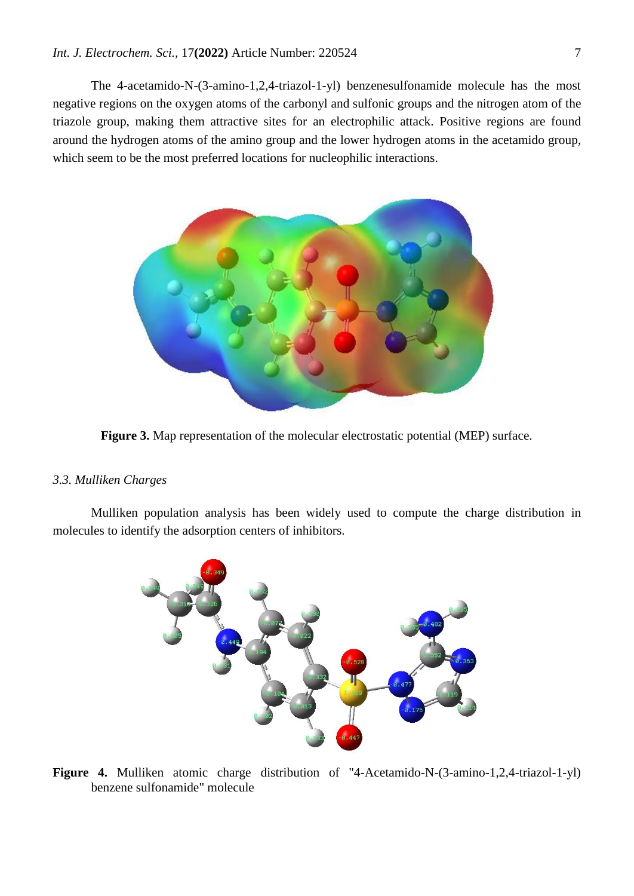The 4-acetamido-N-(3-amino-1,2,4-triazol-1-yl) benzenesulfonamide molecule has the most negative regions on the oxygen atoms of the carbonyl and sulfonic groups and the nitrogen atom of the triazole group, making them attractive sites for an electrophilic attack. Positive regions are found around the hydrogen atoms of the amino group and the lower hydrogen atoms in the acetamido group, which seem to be the most preferred locations for nucleophilic interactions.



**Figure 3.** Map representation of the molecular electrostatic potential (MEP) surface.

#### *3.3. Mulliken Charges*

Mulliken population analysis has been widely used to compute the charge distribution in molecules to identify the adsorption centers of inhibitors.



**Figure 4.** Mulliken atomic charge distribution of "4-Acetamido-N-(3-amino-1,2,4-triazol-1-yl) benzene sulfonamide" molecule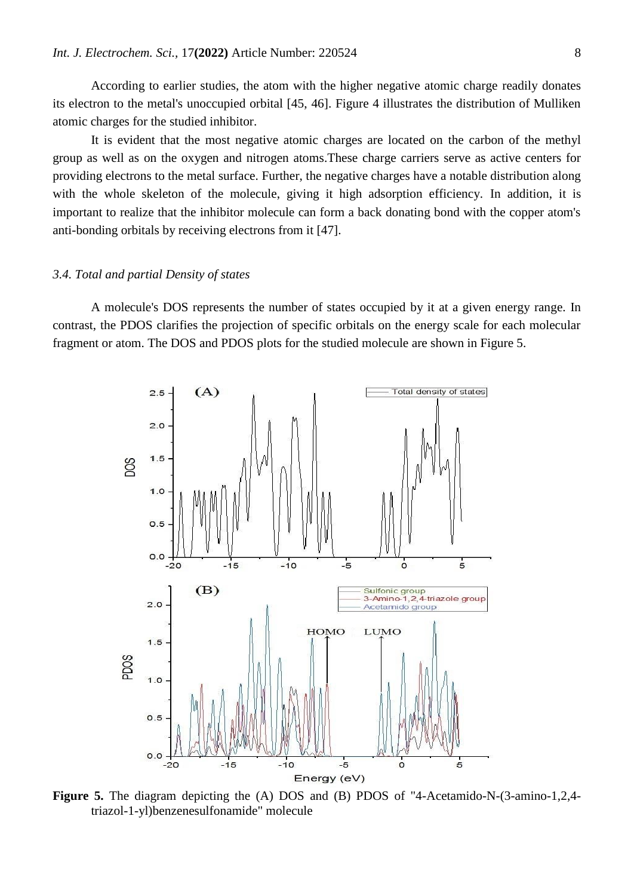According to earlier studies, the atom with the higher negative atomic charge readily donates its electron to the metal's unoccupied orbital [45, 46]. Figure 4 illustrates the distribution of Mulliken atomic charges for the studied inhibitor.

It is evident that the most negative atomic charges are located on the carbon of the methyl group as well as on the oxygen and nitrogen atoms.These charge carriers serve as active centers for providing electrons to the metal surface. Further, the negative charges have a notable distribution along with the whole skeleton of the molecule, giving it high adsorption efficiency. In addition, it is important to realize that the inhibitor molecule can form a back donating bond with the copper atom's anti-bonding orbitals by receiving electrons from it [47].

## *3.4. Total and partial Density of states*

A molecule's DOS represents the number of states occupied by it at a given energy range. In contrast, the PDOS clarifies the projection of specific orbitals on the energy scale for each molecular fragment or atom. The DOS and PDOS plots for the studied molecule are shown in Figure 5.



**Figure 5.** The diagram depicting the (A) DOS and (B) PDOS of "4-Acetamido-N-(3-amino-1,2,4 triazol-1-yl)benzenesulfonamide" molecule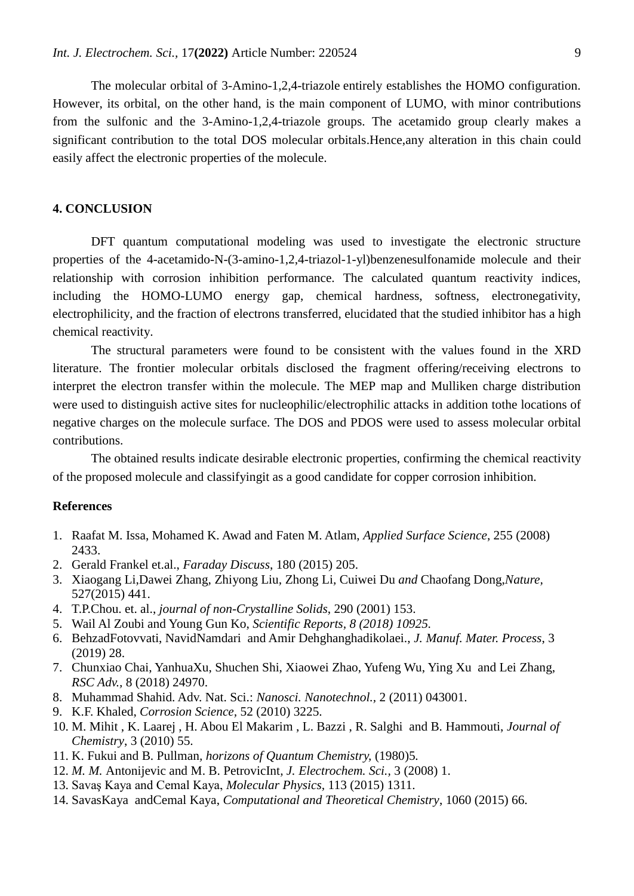The molecular orbital of 3-Amino-1,2,4-triazole entirely establishes the HOMO configuration. However, its orbital, on the other hand, is the main component of LUMO, with minor contributions from the sulfonic and the 3-Amino-1,2,4-triazole groups. The acetamido group clearly makes a significant contribution to the total DOS molecular orbitals.Hence,any alteration in this chain could easily affect the electronic properties of the molecule.

## **4. CONCLUSION**

DFT quantum computational modeling was used to investigate the electronic structure properties of the 4-acetamido-N-(3-amino-1,2,4-triazol-1-yl)benzenesulfonamide molecule and their relationship with corrosion inhibition performance. The calculated quantum reactivity indices, including the HOMO-LUMO energy gap, chemical hardness, softness, electronegativity, electrophilicity, and the fraction of electrons transferred, elucidated that the studied inhibitor has a high chemical reactivity.

The structural parameters were found to be consistent with the values found in the XRD literature. The frontier molecular orbitals disclosed the fragment offering/receiving electrons to interpret the electron transfer within the molecule. The MEP map and Mulliken charge distribution were used to distinguish active sites for nucleophilic/electrophilic attacks in addition tothe locations of negative charges on the molecule surface. The DOS and PDOS were used to assess molecular orbital contributions.

The obtained results indicate desirable electronic properties, confirming the chemical reactivity of the proposed molecule and classifyingit as a good candidate for copper corrosion inhibition.

## **References**

- 1. Raafat M. Issa, Mohamed K. Awad and Faten M. Atlam, *Applied Surface Science*, 255 (2008) 2433.
- 2. Gerald Frankel et.al., *Faraday Discuss*, 180 (2015) 205.
- 3. Xiaogang Li,Dawei Zhang*,* Zhiyong Liu*,* Zhong Li*,* Cuiwei Du *and* Chaofang Dong,*Nature,* 527(2015) 441.
- 4. T.P.Chou. et. al., *journal of non-Crystalline Solids*, 290 (2001) 153.
- 5. Wail Al Zoubi and Young Gun Ko, *Scientific Reports, 8 (2018) 10925.*
- 6. BehzadFotovvati, NavidNamdari and Amir Dehghanghadikolaei., *J. Manuf. Mater. Process*, 3 (2019) 28.
- 7. Chunxiao Chai, YanhuaXu, Shuchen Shi, Xiaowei Zhao, Yufeng Wu, Ying Xu and Lei Zhang, *RSC Adv.,* 8 (2018) 24970.
- 8. Muhammad Shahid. Adv. Nat. Sci.: *Nanosci. Nanotechnol.,* 2 (2011) 043001.
- 9. K.F. Khaled, *Corrosion Science,* 52 (2010) 3225.
- 10. M. Mihit , K. Laarej , H. Abou El Makarim , L. Bazzi , R. Salghi and B. Hammouti, *Journal of Chemistry*, 3 (2010) 55.
- 11. K. Fukui and B. Pullman*, horizons of Quantum Chemistry,* (1980)5*.*
- 12. *M. M.* Antonijevic and M. B. PetrovicInt*, J. Electrochem. Sci.,* 3 (2008) 1.
- 13. Savaş Kaya and Cemal Kaya, *Molecular Physics,* 113 (2015) 1311.
- 14. SavasKaya andCemal Kaya, *Computational and Theoretical Chemistry*, 1060 (2015) 66.